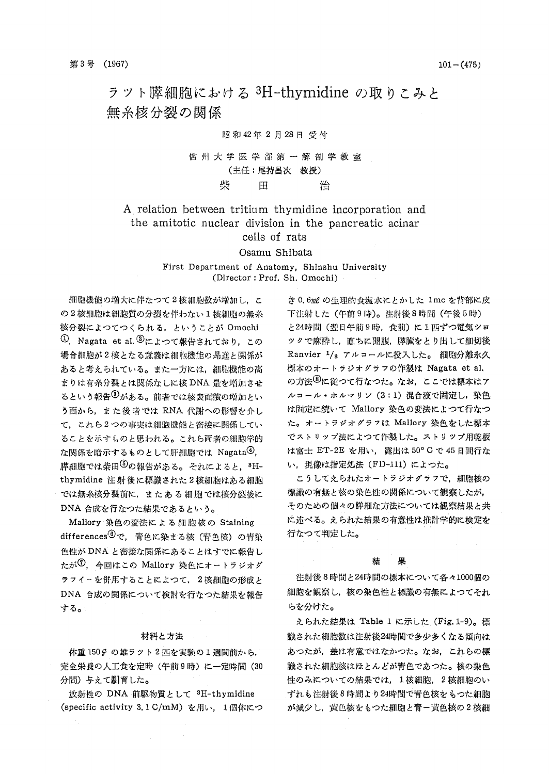ラット膵細胞における 3H-thymidine の取りこみと 無糸核分裂の関係

## 昭和42年2月28日受付'

### 信州大学医学部第一解剖学教室 (主任1尾持昌次 教授) 柴田治 治 **H**

## A relation between tritium thymidine incorporation and the amitotic nuclear division in the pancreatic acinar cells of rats

## Osamu Shibata

 First Department of Anatomy, Shinshu University (Director:Prof. Sh, Omochi)

の2核細胞は細胞質の分裂を伴わたい1核細胞の無糸 下注射した(午前9時)。注射後8時間(午後5時) 核分裂によつてつくられる,ということが Omochi と24時間(翌日午前9時,食前)に1西ずつ電気ショ  $\overline{\mathbb{O}}$ , Nagata et al. ②にょつて報告されており, この ツクで麻酔し, 直ちに開腹, 膵臓をとり出して細切後 場合細胞が2核となる意義は細胞機能の昻進と関係が Ranvier 1/g アルコールに投入した。細胞分離永久 あると考えられている。また一方には、細胞機能の高 標本のオートラジオグラフの作製は Nagata et al. まりは有糸分裂とは関係なしに核 DNA 量を増加させ の方法<sup>③</sup>に従つて行なつた。なお,ここでは標本はア るという報告<sup>③</sup>がある。前者では核表面積の増加とい ルコール・ホルマリン (3:1) 混合液で固定し, 染色 う面から、また後者では RNA 代謝への影響を介し おい間定に続いて Mallory 染色の変法によつて行なつ て、これら2つの事実は細胞機能と密接に関係してい た。オートラジオグラフは Mallory 染色をした標本 ることを示すものと思われる。これら両者の細胞学的 でストリップ法によつて作製した。ストリツブ用乾板 な関係を暗示するものとして肝細胞では Nagata④, ―― は富士 ET-2E を用い,露出は 50° C で 45 日間行な 膵細胞では柴田<sup>6</sup>の報告がある。それによると、8H- い,現像は指定処法 (FD-111) によつた。 thymidine 注射後に標識された2核細胞はある細胞 こうしてえられたオートラジオグラフで, 細胞核の では無糸核分裂前に,またある細胞では核分裂後に 標識の有無と核の染色性の関係について観察したが, DNA合成を行なつた結果であるという。 そのための個々の詳細な方法については観察結果と共

differences<sup>®</sup>で、青色に染まる核(青色核)の青染 行なつて判定した。 色性がDNAと密接な関係にあることはすでに報告し たが⑦,今回はこのMallory染色にオ\_トラジオグ 結 果 ラフイーを併用することによつて,2核細胞の形成と 注射後8時間と24時閻の標本について各々1000側の DNA 合成の関係について検討を行なつた結果を報告 細胞を観察し、核の染色性と標識の有無によつてそれ する。 らを分けた。

細胞機能の増大に伴なつて2核細胞数が増加し,こ き0,6meの生理的食塩水にとかした 1mc を背部に皮

Mallory 染色の変法による細胞核の Staining に述べる。えられた結果の有意性は推計学的に検定を

えられた結果は Table 1 に示した (Fig. 1-9)。標 材料と方法 識された細胞数は注射後24時間で多少多くなる傾向は 体重150gの雄ラット2匹を実験の1週間前から、 あつたが、差は有意ではなかつた。なお、これらの標 完全栄養の人工食を定時(午前9時)に一定時間(30 識された細胞核はほとんどが青色であつた。核の染色 分間)与えて馴育した。 性のみについての結果では,1核細胞,2核細胞のい 放射性の DNA 前駆物質として <sup>8</sup>H-thymidine すれも注射後8時間より24時間で青色核をもつた細胞 (specific activity 3.1C/mM) を用い,1個体につ が減少し,黄色核をもつた細胞と青一黄色核の2核細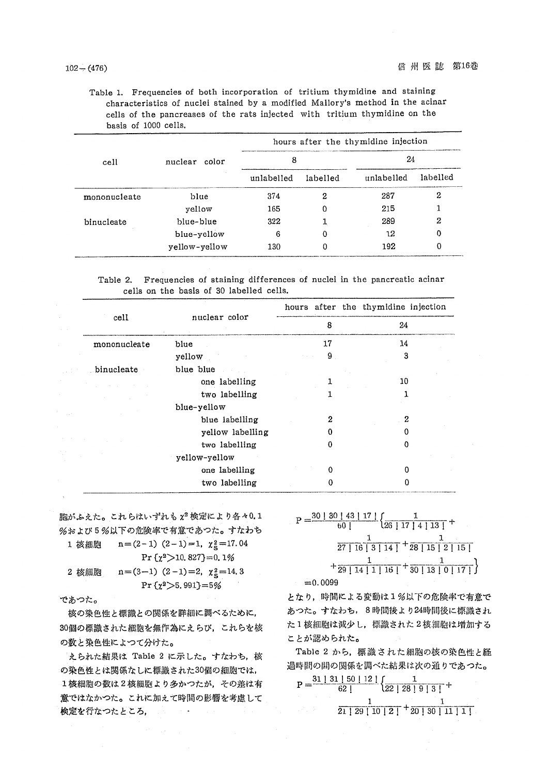## $102 - (476)$

| basis of 1000 cells. |               |                                     |          |            |          |  |  |
|----------------------|---------------|-------------------------------------|----------|------------|----------|--|--|
|                      | nuclear color | hours after the thymidine injection |          |            |          |  |  |
| cell                 |               | 8                                   |          | 24         |          |  |  |
|                      |               | unlabelled                          | labelled | unlabelled | labelled |  |  |
| mononucleate         | blue          | 374                                 | 2        | 287        | 2        |  |  |
|                      | yellow        | 165                                 | 0        | 215        |          |  |  |
| binucleate           | blue-blue     | 322                                 | 1        | 289        | 2        |  |  |
|                      | blue-yellow   | 6                                   | 0        | 12         | 0        |  |  |
|                      | yellow-yellow | 130                                 | 0        | 192        | 0        |  |  |

Table 1. Frequencies of both incorporation of tritium thymidine and staining characteristics of nuclei stained by a modified Mallory's method in the acinar cells of the pancreases of the rats injected with tritium thymidine on the

Table 2. Frequencies of staining differences of nuclei in the pancreatic acinar cells on the basis of 30 labelled cells.

|              |                  |    | hours after the thymidine injection |
|--------------|------------------|----|-------------------------------------|
| cell         | nuclear color    | 8  | 24                                  |
| mononucleate | blue             | 17 | 14                                  |
|              | yellow           | 9  | 3                                   |
| binucleate   | blue blue        |    |                                     |
|              | one labelling    |    | 10                                  |
|              | two labelling    |    |                                     |
|              | blue-yellow      |    |                                     |
|              | blue labelling   | 2  | 2                                   |
|              | yellow labelling | 0  |                                     |
|              | two labelling    | 0  | o                                   |
|              | yellow-yellow    |    |                                     |
|              | one labelling    |    |                                     |
|              | two labelling    |    | Ω                                   |
|              |                  |    |                                     |

胞がふえた。これらはいずれも χ<sup>2</sup>検定により各々0.1 %および5%以下の危険率で有意であつた。すなわち  $\begin{array}{c} \text{Area} \\ \text{Area} \end{array}$ 

| 1 该細胞 | $n = (2 - 1)$ $(2 - 1) = 1$ , $\chi_{\rm S}^2 = 17.04$ |  |  |
|-------|--------------------------------------------------------|--|--|
|       | $Pr { \{ \chi^2 \} }$ 10. 827} = 0. 1%                 |  |  |
| 2 核細胞 | $n=(3-1)$ $(2-1)=2$ , $\chi^2_{\rm S}=14.3$            |  |  |
|       | $Pr {2 > 5.991} = 5\%$                                 |  |  |

であつた。

核の染色性と標識との関係を詳細に調べるために, 30個の標識された細胞を無作為にえらび、これらを核 の数と染色性によつて分けた。

えられた結果は Table 2 に示した。すなわち、核 の染色性とは関係なしに標識された30個の細胞では, 1核細胞の数は2核細胞より多かつたが、その差は有 意ではなかつた。これに加えて時間の影響を考慮して 検定を行なつたところ,

 $\mathtt{P}=\!\!\frac{30\!+\!30\!+\!43\!+\!17\!+\!1}{60\!+\!}\Big\{\! \frac{1}{26\!+\!17\!+\!4\!+\!13\!+\!}+\!$  $\frac{1}{27 \mid 16 \mid 3 \mid 14 \mid} + \frac{1}{28 \mid 15 \mid 2 \mid 15 \mid}$  $+ \frac{1}{29 \mid 14 \mid 1 \mid 16 \mid} + \frac{1}{30 \mid 13 \mid 0 \mid 17 \mid} \Big \}$  $= 0.0099$ 

となり、時間による変動は1%以下の危険率で有意で あつた。すなわち、8時間後より24時間後に標識され た1核細胞は減少し、標識された2核細胞は増加する ことが認められた。

Table 2 から、標識された細胞の核の染色性と経 過時間の間の関係を調べた結果は次の通りであつた。

 $P = \frac{31 | 31 | 50 | 12 |}{62 |} \left\{ \frac{1}{22 | 28 | 9 | 3 |} + \right\}$  $21 | 29 | 10 | 2 | + 20 | 30 | 11 | 11$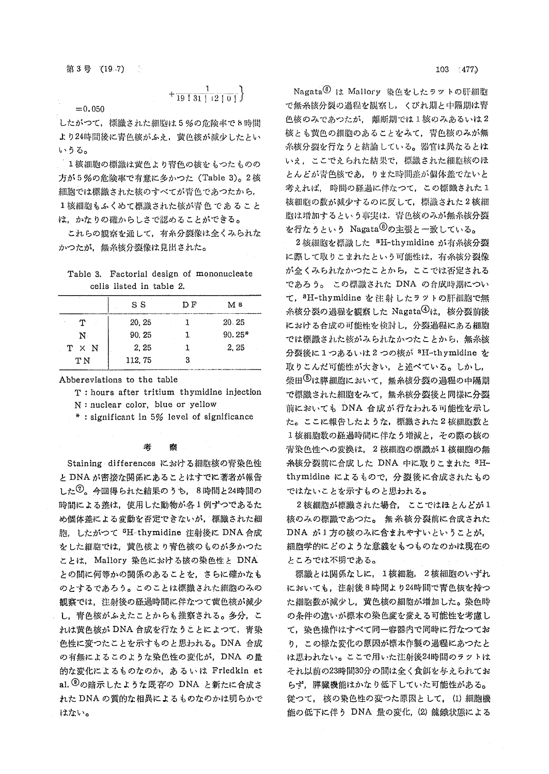$$
+\frac{1}{19\cdot 1\cdot 31\cdot 1\cdot 2\cdot 1\cdot 0\cdot 1}
$$

より24時間後に青色核がふえ,黄色核が減少したとい 核とも黄色の細胞のあることをみて,青色核のみが無 いうる。 糸核分裂を行なうと結論している。器官は異なるとは

|              | SS.     | DF | Мs       |
|--------------|---------|----|----------|
| ጥ            | 20, 25  |    | 20.25    |
| N            | 90.25   |    | $90.25*$ |
| $T \times N$ | 2.25    |    | 2, 25    |
| TΝ           | 112, 75 |    |          |

とDNAが密接な関係にあることはすでに著者が報告 thymidine によるもので、分裂後に合成されたもの した⑦。今回褥られた結果のうち,8時間と24時間の ではないことを示すものと思われる。 時間による差は、使用した動物が各1例ずつであるた 2核細胞が標識された場合、ここではほとんどが1 め個体差による変動を否定できないが、標識された細 核のみの標識であつた。無糸核分裂前に合成された 胞, したがつて<sup>a</sup>H-thymidine 注射後に DNA 合成 DNA が1方の核のみに含まれやすいということが, をした細胞では,黄色核より青色核のものが多かつた 細胞学的にどのような意義をもつものなのかは現在の ことは. Mallory 染色における核の染色性と DNA ところでは不明である。 との間に何等かの関係のあることを、さらに確かなも 標識とは関係なしに, 1核細胞, 2核細胞のいずれ のとするであろう。このことは標識された細胞のみの においても、注射後8時間より24時間で青色核を持つ 観察では,注射後の経過時間に伴なつて黄色核が減少 た細胞数が減少し,黄色核の細胞が増加した。染蝕時 し、青色核がふえたことからも推察される。多分、こ の条件の違いが標本の染色度を変える可能性を考慮し れは黄色核が DNA 合成を行なうことによつて、青染 て、染色操作はすべて同一容器内で同時に行なつてお 色性に変つたことを示すものと思われる。DNA 合成 p. この様な変化の原因が標本作製の過程にあつたと の有無によるこのような染色性の変化が,DNAの量 は思われない。ここで用いた注射後24時間のラットは 的な変化によるものなのか、あるいは Friedkin et それ以前の23時間30分の間は全く食餌を与えられてお aL⑨の暗示したような既存のDNAと新たに合成さ らず,膵臓機能はかなり低下していた可能性がある。 れたDNAの質的な相異によるものなのかは明らかで 従って、核の染色性の変つた原因として,(1)細胞機 はない。 能の低下に檸うDNA饒の変化,(2)醜餓状態による

Nagata<sup>①</sup>は Mallory 染色をしたラットの肝細胞 =O.050 ° '° で無糸核分裂の過程を観察し・くびれ期とt"1'1隔期は青 したがつて、標識された細胞は5%の危険率で8時間 色核のみであつたが、離断期では1核のみあるいは2 1核細胞の標識は黄色より青色の核をもつたものの いえ、ここでえられた結果で、標識された細胞核のほ 方が5%の危険率で有意に多かつた(Table 3)。2核 とんどが青色核であ・りまた時間差が個体鑑でないと 細胞では標識された核のすべてが青色であつたから、 考えれば、時間の経過に伴なつて、この標識された1 1核細胞もふくめて標識された核が青色であること 核細胞の数が減少するのに反して、標識された2核細 は,かなりの確からしさで認めることができる。 胞は増加するという事実は・冑色核のみが無糸核分裂 .<br>これらの観察を通して,有糸分裂像は全くみられな を行なうという Nagata<sup>⑥</sup>の主張と一致している。

かつたが、 無糸核分裂像は見出された。 2 2 2 核細胞を標識した <sup>8</sup>H-thymidine が有糸核分裂 に際して取りこまれたという可能性は、有糸核分裂像 Table 3. Factorial design of mononucleate が全くみられなかつたことから、ここでは否定される cells listed in table 2. <br>
であろう。 この標識された DNA の合成時期につい て, <sup>s</sup>H-thymidine を注射したラットの肝細胞で無<br>糸核分裂の過程を観察した Nagata<sup>@</sup>は, 核分裂前後 における合成の可能性を検討し、分裂過程にある細胞 では標識された核がみられなかつたことから、無糸核 分裂後に1つあるいは2つの核が<sup>8H-thymidine</sup>を 112.75 3 岬 \_\_、\_\_\_.\_\_\_ 取りこんだ可能性が大きい,と述べている。しかし, Abbereviations to the table 柴田⑤は膵細胞に才δいて,無糸核分裂の過程の中隔期 T:hours after tritium thymidine injection で標識された細胞をみて,無糸核分裂後と同様に分裂 N: nuclear color, blue or yellow <br>\*: significant in 5% level of significance <br>\*: significant in 5% level of significance <br>A Light in the the minimum in the minimum in the minimum in the minimum in the minimum in the mini た。ここに報告したような、標識された2核細胞数と ユ核細胞数の経過時聞に伴なう増減と,その際の核の 考 察 青染色性への変換は,2核細胞の標識が1核細胞の無 Staining differencesにおける細胞核の膏染色性 糸核分裂前に合成したDNA中に取りこまれた8H一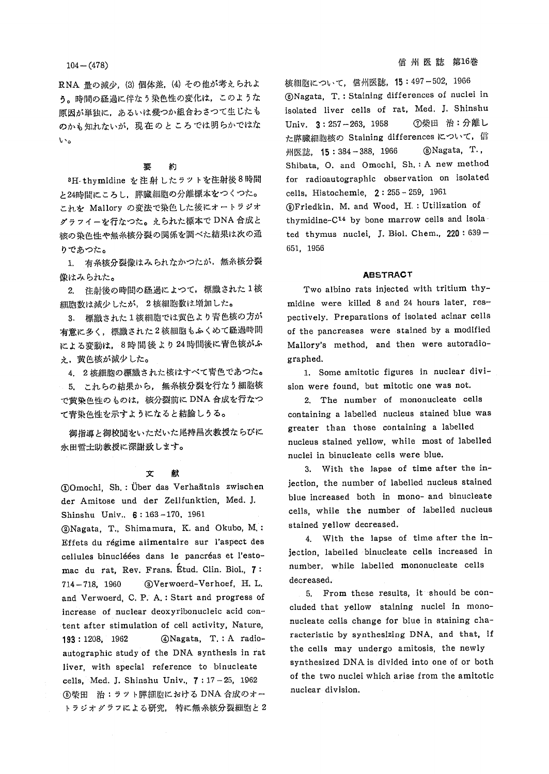のかも知れないが,現在のところでは明らかではな Univ.3:257-263,1958 ⑦柴田 治:分離し い。 た膵臓細蹴のSt・i・i・g diff・・e・cesについ"C・・信

と24時間にころし, 膵臓細胞の分離標本をつくつた。 cells, Histochemie, 2:255-259, 1961 これを Mallory の変法で染色した後にオートラジオ ⑨Friedkin, M. and Wood, H.:Utilization of グラフィーを行なつた。えられた標本でDNA合成と thymidine-C<sup>14</sup> by bone marrow cells and isola りであつた。 651,1956

1. 有糸核分裂像はみられなかつたが、無糸核分裂 像はみられた。 ABSTRAcr

による変動は、8時間後より24時間後に青色核がふ Mallory's method, and then were autoradio-え,黄色核が減少した。 graphed.

 5,これらの結果から,無糸核分裂な行なう細胞核 sion were found, but mitotic one was not. で黄染色性のものは,核分裂前にDNA合成を行な? 2, The number of rnononucleate cells て青染色性を示すようになると結論しうる。 containing a labelled nucleus stained blue was

 $@Nagata$ , T., Shimamura, K. and Okubo, M.: stained yellow decreased. Effets du régime alimentaire sur l'aspect des  $\begin{array}{ccc} 4. & \text{With the lapse of time after the in-} \end{array}$ cellules binucléées dans le pancréas et l'esto- jection, labelled binucleate cells increased in mac du rat, Rev. Frans. Etud. Clin. Biol., 7: number, while labelled mononucleate cells  $714-718$ , 1960 (a)Verwoerd-Verhoef, H. L. decreased. and Verwoerd, C. P. A.: Start and progress of 5. From these results, it should be conincrease of nuclear deoxyribonucleic acid con-cluded that yellow staining nuclei in monotent after stimulation of cell activity, Nature, nucleate cells change for blue in staining cha-193: 1208, 1962 **Angata**, T.: A radio- **racteristic by synthesizing DNA**, and that, if autographic study of the DNA synthesis in rat the cells may undergo amitosis, the newly liver, with special reference to binucleate synthesized DNA is divided into one of or both cells, Med. J. Shinshu Univ.,  $7:17-25$ , 1962 of the two nuclei which arise from the amitotic ⑥柴田 治:ラット膵細胞における DNA 合成のオー nuclear division. トラジオグラフによる研究,特に無糸核分裂細胞と2

# 104\_(478) 信州医誌第16巻

RNA量の減少,(3)個体差,(4)その他が考えられよ 核細胞について,信州医誌,15:497-502,1966 う。時間の経過に伴なう染色性の変化は,このような ⑥Nagata, T.;Staining differences of nuclei in 原因が単独に、あるいは幾つか組合わさつて生じたも isolated liver cells of rat, Med. J. Shinshu 州医誌,15:384-388,1966 ⑧Nagata, T・・ 要 約 Shibata, O. and Omochi, Sh.: A new method 8H-thymidine を注射したラットを注射後8時間 for radioautographic observation on isolated

核の染色性や無糸核分裂の関係を調べた結果は次の通 ted thymus nuclei, J. Biol. Chem., 220:639-

 2. 注射後の時間の経過によつて,標識された1核 Two albino rats injected with tritium thy一 細胞数は減少したが,2核細胞数は増加した。 mldine were killed 8 and 24 hours late「・z'es"- 3.標識された1核細胞では黄色より青色核の方が pectively, Preparations of isolated acinar cells 有意に多く,標識された2核細胞もふくめて経過時間 of the pancreases were.stained by a modtfied

4,2核細胞の標識された核はすべて青色であつた。 1.Some amitotic figures in nuclear divi-

御指導と御校閲をいただいた尾持昌次教授ならびに greater than those containing a labelled 永田鰍轍撫深謝致します。 …1eus st・i・・d y・11・w・ while皿゜st°f 1"belled nuclei in binticleate cells were blue.

 $\hat{\mathbf{v}}$  and  $\hat{\mathbf{v}}$  are  $\hat{\mathbf{v}}$  after the in-(DOmochi, Sh,: Über das Verhaätnis zwischen jection, the number of labelled nucleus stained der Amitose und der Zellfunktion, Med. J. blue increased both in mono- and binucleate Shinshu Univ., 6:163-170, 1961 . cells, while the number of labelled nucleus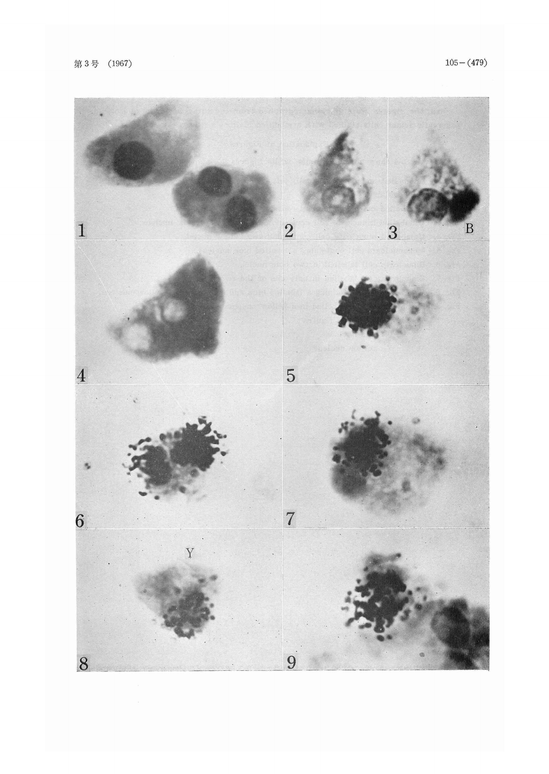